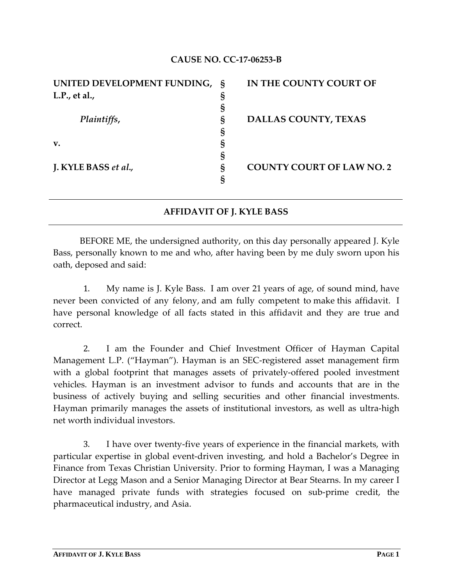## **CAUSE NO. CC‐17‐06253‐B**

| UNITED DEVELOPMENT FUNDING, § |   | IN THE COUNTY COURT OF           |
|-------------------------------|---|----------------------------------|
| L.P., et al.,                 |   |                                  |
|                               |   |                                  |
| Plaintiffs,                   | Ş | <b>DALLAS COUNTY, TEXAS</b>      |
|                               |   |                                  |
| v.                            |   |                                  |
|                               |   |                                  |
| J. KYLE BASS et al.,          | Ş | <b>COUNTY COURT OF LAW NO. 2</b> |
|                               |   |                                  |

## **AFFIDAVIT OF J. KYLE BASS**

BEFORE ME, the undersigned authority, on this day personally appeared J. Kyle Bass, personally known to me and who, after having been by me duly sworn upon his oath, deposed and said:

1. My name is J. Kyle Bass. I am over 21 years of age, of sound mind, have never been convicted of any felony, and am fully competent to make this affidavit. I have personal knowledge of all facts stated in this affidavit and they are true and correct.

2. I am the Founder and Chief Investment Officer of Hayman Capital Management L.P. ("Hayman"). Hayman is an SEC‐registered asset management firm with a global footprint that manages assets of privately-offered pooled investment vehicles. Hayman is an investment advisor to funds and accounts that are in the business of actively buying and selling securities and other financial investments. Hayman primarily manages the assets of institutional investors, as well as ultra‐high net worth individual investors.

3. I have over twenty‐five years of experience in the financial markets, with particular expertise in global event‐driven investing, and hold a Bachelor's Degree in Finance from Texas Christian University. Prior to forming Hayman, I was a Managing Director at Legg Mason and a Senior Managing Director at Bear Stearns. In my career I have managed private funds with strategies focused on sub-prime credit, the pharmaceutical industry, and Asia.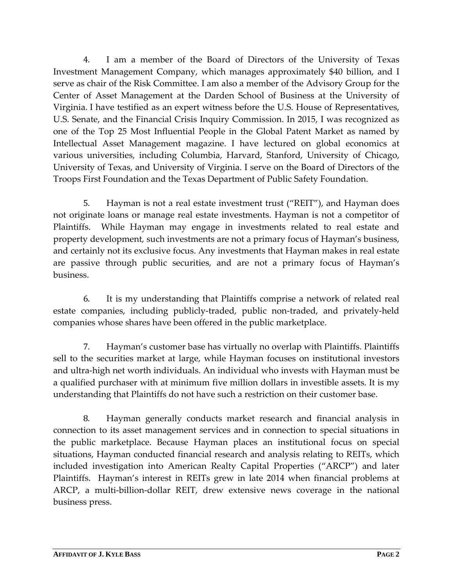4. I am a member of the Board of Directors of the University of Texas Investment Management Company, which manages approximately \$40 billion, and I serve as chair of the Risk Committee. I am also a member of the Advisory Group for the Center of Asset Management at the Darden School of Business at the University of Virginia. I have testified as an expert witness before the U.S. House of Representatives, U.S. Senate, and the Financial Crisis Inquiry Commission. In 2015, I was recognized as one of the Top 25 Most Influential People in the Global Patent Market as named by Intellectual Asset Management magazine. I have lectured on global economics at various universities, including Columbia, Harvard, Stanford, University of Chicago, University of Texas, and University of Virginia. I serve on the Board of Directors of the Troops First Foundation and the Texas Department of Public Safety Foundation.

5. Hayman is not a real estate investment trust ("REIT"), and Hayman does not originate loans or manage real estate investments. Hayman is not a competitor of Plaintiffs. While Hayman may engage in investments related to real estate and property development, such investments are not a primary focus of Hayman's business, and certainly not its exclusive focus. Any investments that Hayman makes in real estate are passive through public securities, and are not a primary focus of Hayman's business.

6. It is my understanding that Plaintiffs comprise a network of related real estate companies, including publicly-traded, public non-traded, and privately-held companies whose shares have been offered in the public marketplace.

7. Hayman's customer base has virtually no overlap with Plaintiffs. Plaintiffs sell to the securities market at large, while Hayman focuses on institutional investors and ultra‐high net worth individuals. An individual who invests with Hayman must be a qualified purchaser with at minimum five million dollars in investible assets. It is my understanding that Plaintiffs do not have such a restriction on their customer base.

8. Hayman generally conducts market research and financial analysis in connection to its asset management services and in connection to special situations in the public marketplace. Because Hayman places an institutional focus on special situations, Hayman conducted financial research and analysis relating to REITs, which included investigation into American Realty Capital Properties ("ARCP") and later Plaintiffs. Hayman's interest in REITs grew in late 2014 when financial problems at ARCP, a multi-billion-dollar REIT, drew extensive news coverage in the national business press.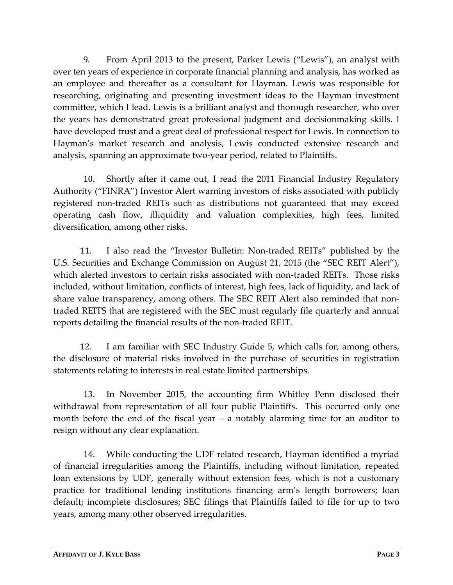9. From April 2013 to the present, Parker Lewis ("Lewis"), an analyst with over ten years of experience in corporate financial planning and analysis, has worked as an employee and thereafter as a consultant for Hayman. Lewis was responsible for researching, originating and presenting investment ideas to the Hayman investment committee, which I lead. Lewis is a brilliant analyst and thorough researcher, who over the years has demonstrated great professional judgment and decisionmaking skills. I have developed trust and a great deal of professional respect for Lewis. In connection to Hayman's market research and analysis, Lewis conducted extensive research and analysis, spanning an approximate two‐year period, related to Plaintiffs.

10. Shortly after it came out, I read the 2011 Financial Industry Regulatory Authority ("FINRA") Investor Alert warning investors of risks associated with publicly registered non-traded REITs such as distributions not guaranteed that may exceed operating cash flow, illiquidity and valuation complexities, high fees, limited diversification, among other risks.

11. I also read the "Investor Bulletin: Non‐traded REITs" published by the U.S. Securities and Exchange Commission on August 21, 2015 (the "SEC REIT Alert"), which alerted investors to certain risks associated with non-traded REITs. Those risks included, without limitation, conflicts of interest, high fees, lack of liquidity, and lack of share value transparency, among others. The SEC REIT Alert also reminded that nontraded REITS that are registered with the SEC must regularly file quarterly and annual reports detailing the financial results of the non-traded REIT.

12. I am familiar with SEC Industry Guide 5, which calls for, among others, the disclosure of material risks involved in the purchase of securities in registration statements relating to interests in real estate limited partnerships.

13. In November 2015, the accounting firm Whitley Penn disclosed their withdrawal from representation of all four public Plaintiffs. This occurred only one month before the end of the fiscal year – a notably alarming time for an auditor to resign without any clear explanation.

14. While conducting the UDF related research, Hayman identified a myriad of financial irregularities among the Plaintiffs, including without limitation, repeated loan extensions by UDF, generally without extension fees, which is not a customary practice for traditional lending institutions financing arm's length borrowers; loan default; incomplete disclosures; SEC filings that Plaintiffs failed to file for up to two years, among many other observed irregularities.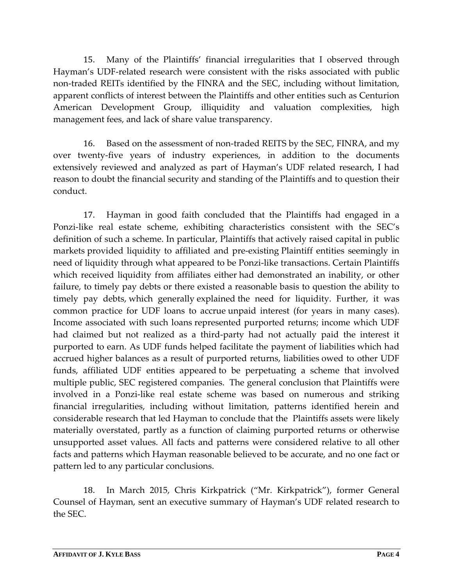15. Many of the Plaintiffs' financial irregularities that I observed through Hayman's UDF‐related research were consistent with the risks associated with public non‐traded REITs identified by the FINRA and the SEC, including without limitation, apparent conflicts of interest between the Plaintiffs and other entities such as Centurion American Development Group, illiquidity and valuation complexities, high management fees, and lack of share value transparency.

16. Based on the assessment of non-traded REITS by the SEC, FINRA, and my over twenty‐five years of industry experiences, in addition to the documents extensively reviewed and analyzed as part of Hayman's UDF related research, I had reason to doubt the financial security and standing of the Plaintiffs and to question their conduct.

17. Hayman in good faith concluded that the Plaintiffs had engaged in a Ponzi-like real estate scheme, exhibiting characteristics consistent with the SEC's definition of such a scheme. In particular, Plaintiffs that actively raised capital in public markets provided liquidity to affiliated and pre‐existing Plaintiff entities seemingly in need of liquidity through what appeared to be Ponzi-like transactions. Certain Plaintiffs which received liquidity from affiliates either had demonstrated an inability, or other failure, to timely pay debts or there existed a reasonable basis to question the ability to timely pay debts, which generally explained the need for liquidity. Further, it was common practice for UDF loans to accrue unpaid interest (for years in many cases). Income associated with such loans represented purported returns; income which UDF had claimed but not realized as a third-party had not actually paid the interest it purported to earn. As UDF funds helped facilitate the payment of liabilities which had accrued higher balances as a result of purported returns, liabilities owed to other UDF funds, affiliated UDF entities appeared to be perpetuating a scheme that involved multiple public, SEC registered companies. The general conclusion that Plaintiffs were involved in a Ponzi‐like real estate scheme was based on numerous and striking financial irregularities, including without limitation, patterns identified herein and considerable research that led Hayman to conclude that the Plaintiffs assets were likely materially overstated, partly as a function of claiming purported returns or otherwise unsupported asset values. All facts and patterns were considered relative to all other facts and patterns which Hayman reasonable believed to be accurate, and no one fact or pattern led to any particular conclusions.

18. In March 2015, Chris Kirkpatrick ("Mr. Kirkpatrick"), former General Counsel of Hayman, sent an executive summary of Hayman's UDF related research to the SEC.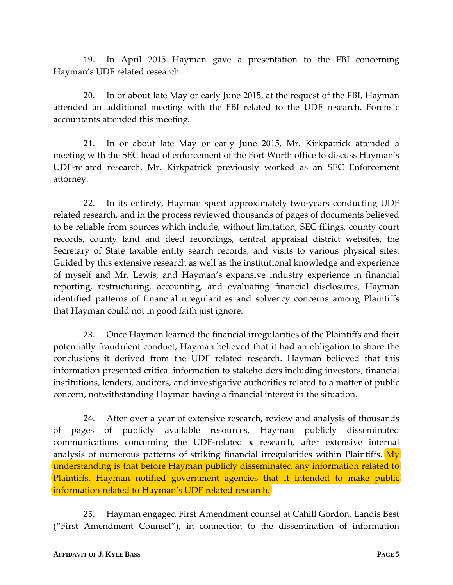19. In April 2015 Hayman gave a presentation to the FBI concerning Hayman's UDF related research.

20. In or about late May or early June 2015, at the request of the FBI, Hayman attended an additional meeting with the FBI related to the UDF research. Forensic accountants attended this meeting.

21. In or about late May or early June 2015, Mr. Kirkpatrick attended a meeting with the SEC head of enforcement of the Fort Worth office to discuss Hayman's UDF‐related research. Mr. Kirkpatrick previously worked as an SEC Enforcement attorney.

22. In its entirety, Hayman spent approximately two-years conducting UDF related research, and in the process reviewed thousands of pages of documents believed to be reliable from sources which include, without limitation, SEC filings, county court records, county land and deed recordings, central appraisal district websites, the Secretary of State taxable entity search records, and visits to various physical sites. Guided by this extensive research as well as the institutional knowledge and experience of myself and Mr. Lewis, and Hayman's expansive industry experience in financial reporting, restructuring, accounting, and evaluating financial disclosures, Hayman identified patterns of financial irregularities and solvency concerns among Plaintiffs that Hayman could not in good faith just ignore.

23. Once Hayman learned the financial irregularities of the Plaintiffs and their potentially fraudulent conduct, Hayman believed that it had an obligation to share the conclusions it derived from the UDF related research. Hayman believed that this information presented critical information to stakeholders including investors, financial institutions, lenders, auditors, and investigative authorities related to a matter of public concern, notwithstanding Hayman having a financial interest in the situation.

24. After over a year of extensive research, review and analysis of thousands of pages of publicly available resources, Hayman publicly disseminated communications concerning the UDF‐related x research, after extensive internal analysis of numerous patterns of striking financial irregularities within Plaintiffs. My understanding is that before Hayman publicly disseminated any information related to Plaintiffs, Hayman notified government agencies that it intended to make public information related to Hayman's UDF related research.

25. Hayman engaged First Amendment counsel at Cahill Gordon, Landis Best ("First Amendment Counsel"), in connection to the dissemination of information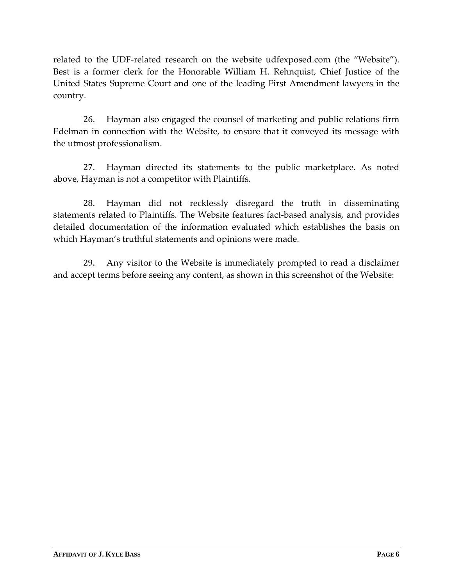related to the UDF-related research on the website udfexposed.com (the "Website"). Best is a former clerk for the Honorable William H. Rehnquist, Chief Justice of the United States Supreme Court and one of the leading First Amendment lawyers in the country.

26. Hayman also engaged the counsel of marketing and public relations firm Edelman in connection with the Website, to ensure that it conveyed its message with the utmost professionalism.

27. Hayman directed its statements to the public marketplace. As noted above, Hayman is not a competitor with Plaintiffs.

28. Hayman did not recklessly disregard the truth in disseminating statements related to Plaintiffs. The Website features fact-based analysis, and provides detailed documentation of the information evaluated which establishes the basis on which Hayman's truthful statements and opinions were made.

29. Any visitor to the Website is immediately prompted to read a disclaimer and accept terms before seeing any content, as shown in this screenshot of the Website: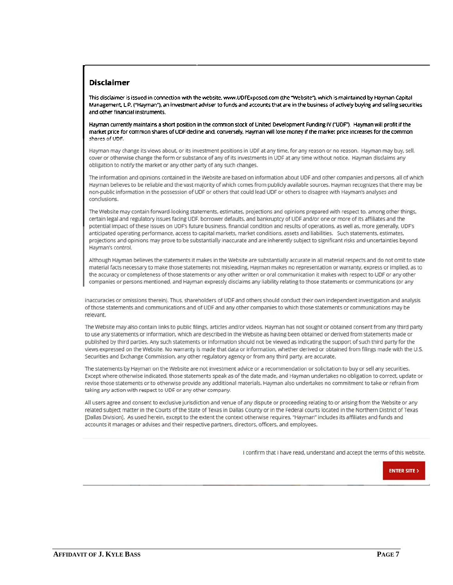## Disclaimer

This disclaimer is issued in connection with the website. www.UDFExposed.com (the "Website"), which is maintained by Hayman Capital Management, L.P. ("Hayman"), an investment adviser to funds and accounts that are in the business of actively buying and selling securities and other financial instruments.

Hayman currently maintains a short position in the common stock of United Development Funding IV ("UDF"). Hayman will profit if the market price for common shares of UDF decline and, conversely. Hayman will lose money if the market price increases for the common shares of UDF.

Hayman may change its views about, or its investment positions in UDF at any time, for any reason or no reason. Hayman may buy, sell, cover or otherwise change the form or substance of any of its investments in UDF at any time without notice. Hayman disclaims any obligation to notify the market or any other party of any such changes.

The information and opinions contained in the Website are based on information about UDF and other companies and persons, all of which Hayman believes to be reliable and the vast majority of which comes from publicly available sources. Hayman recognizes that there may be non-public information in the possession of UDF or others that could lead UDF or others to disagree with Hayman's analyses and conclusions.

The Website may contain forward-looking statements, estimates, projections and opinions prepared with respect to, among other things, certain legal and regulatory issues facing UDF, borrower defaults, and bankruptcy of UDF and/or one or more of its affiliates and the potential impact of these issues on UDF's future business, financial condition and results of operations, as well as, more generally, UDF's anticipated operating performance, access to capital markets, market conditions, assets and liabilities. Such statements, estimates, projections and opinions may prove to be substantially inaccurate and are inherently subject to slgnificant risks and uncertainties beyond Hayman's control.

Although Hayman believes the statements it makes in the Website are substantially accurate in all material respects and do not omit to state material facts necessary to make those statements not misleading. Hayman makes no representation or warranty, express or implied, as to the accuracy or completeness of those statements or any other written or oral communication It makes with respecl to UDF or any other companies or persons mentioned, and Hayman expressly disclaims any liability relating to those statements or communications (or any

inaccuracies or omissions therein). Thus. shareholders of UDF and others should conduct their own Independent investigation and analysis of those statements and communications and of UDF and any other companies to which those statements or communications may be relevant.

The Website may also contain links to public filings, articles and/or videos. Hayman has not sought or obtained consent from any third party to use any statements or information, which are described in the Website as having been obtained or derived from statements made or published by third parties. Any such statements or information should not be viewed as indicating the support of such third party for the views expressed on the Website. No warranty is made that data or information. wheiher derived or obtained from filings made with the U.5. Securities and Exchange Commission, any other regulatory agency or from any third party, are accurate.

The statements by Hayman on the Website are not investment advice or a recommendation or solicitation to buy or sell any securities. Except where otherwise indicated, those statements speak as of the date made, and Hayman undertakes no obligation to correct, update or revise those statements or to otherwise provide any addlfional materials. Hayman also undertakes no commitment to take or refrain from taking any action with respect to UDF or any other company.

All users agree and consent to exclusive jurisdiction and venue of any dispute or proceeding relating to or arising from the Website or any related subject matter in the Courts of the State of Texas in Dallas County or in the Federal courts located in the Northern District of Texas [Dallas Division]. As used herein, except to the extent the context otherwise requires, "Hayman" includes its affiliates and funds and accounts it manages or advises and their respective partners, directors, officers, and employees.

confirm that <sup>l</sup> have read. understand and accept the terms of this website.



ENTER SITE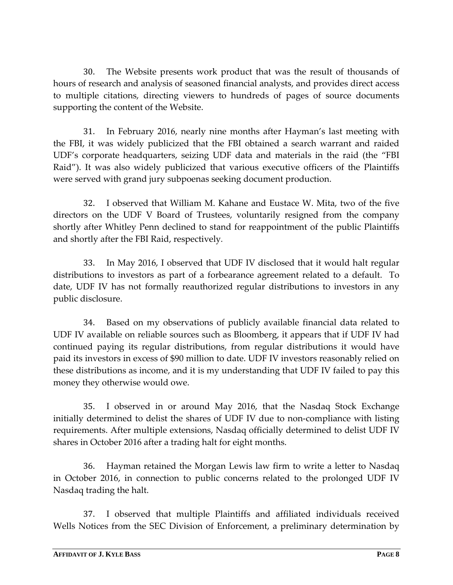30. The Website presents work product that was the result of thousands of hours of research and analysis of seasoned financial analysts, and provides direct access to multiple citations, directing viewers to hundreds of pages of source documents supporting the content of the Website.

31. In February 2016, nearly nine months after Hayman's last meeting with the FBI, it was widely publicized that the FBI obtained a search warrant and raided UDF's corporate headquarters, seizing UDF data and materials in the raid (the "FBI Raid"). It was also widely publicized that various executive officers of the Plaintiffs were served with grand jury subpoenas seeking document production.

32. I observed that William M. Kahane and Eustace W. Mita, two of the five directors on the UDF V Board of Trustees, voluntarily resigned from the company shortly after Whitley Penn declined to stand for reappointment of the public Plaintiffs and shortly after the FBI Raid, respectively*.* 

33. In May 2016, I observed that UDF IV disclosed that it would halt regular distributions to investors as part of a forbearance agreement related to a default. To date, UDF IV has not formally reauthorized regular distributions to investors in any public disclosure.

34. Based on my observations of publicly available financial data related to UDF IV available on reliable sources such as Bloomberg, it appears that if UDF IV had continued paying its regular distributions, from regular distributions it would have paid its investors in excess of \$90 million to date. UDF IV investors reasonably relied on these distributions as income, and it is my understanding that UDF IV failed to pay this money they otherwise would owe.

35. I observed in or around May 2016, that the Nasdaq Stock Exchange initially determined to delist the shares of UDF IV due to non‐compliance with listing requirements. After multiple extensions, Nasdaq officially determined to delist UDF IV shares in October 2016 after a trading halt for eight months.

36. Hayman retained the Morgan Lewis law firm to write a letter to Nasdaq in October 2016, in connection to public concerns related to the prolonged UDF IV Nasdaq trading the halt.

37. I observed that multiple Plaintiffs and affiliated individuals received Wells Notices from the SEC Division of Enforcement, a preliminary determination by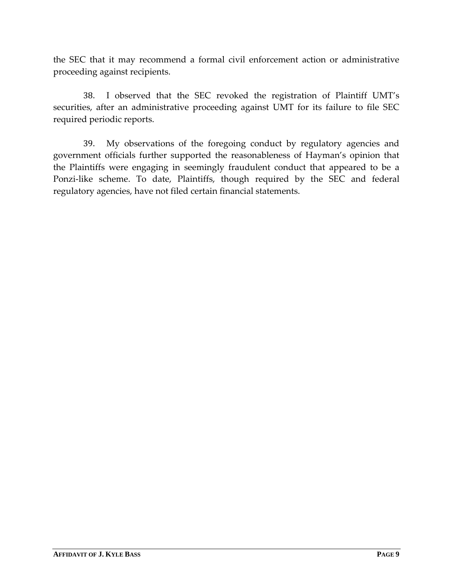the SEC that it may recommend a formal civil enforcement action or administrative proceeding against recipients.

38. I observed that the SEC revoked the registration of Plaintiff UMT's securities, after an administrative proceeding against UMT for its failure to file SEC required periodic reports.

39. My observations of the foregoing conduct by regulatory agencies and government officials further supported the reasonableness of Hayman's opinion that the Plaintiffs were engaging in seemingly fraudulent conduct that appeared to be a Ponzi-like scheme. To date, Plaintiffs, though required by the SEC and federal regulatory agencies, have not filed certain financial statements.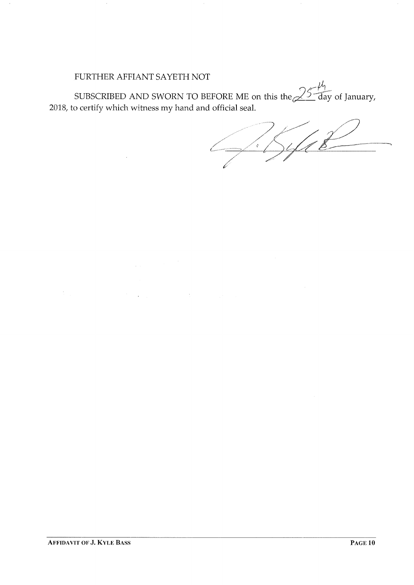## FURTHER AFFIANT SAYETH NOT

 $\bar{\mathcal{A}}$ 

 $\label{eq:1} \frac{1}{\sqrt{2\pi}}\int_{0}^{\infty}\frac{1}{\sqrt{2\pi}}\left(\frac{1}{\sqrt{2\pi}}\right)^{2\sqrt{2}}\frac{1}{\sqrt{2\pi}}\left(\frac{1}{\sqrt{2\pi}}\right)^{2\sqrt{2}}\frac{1}{\sqrt{2\pi}}\frac{1}{\sqrt{2\pi}}\frac{1}{\sqrt{2\pi}}\frac{1}{\sqrt{2\pi}}\frac{1}{\sqrt{2\pi}}\frac{1}{\sqrt{2\pi}}\frac{1}{\sqrt{2\pi}}\frac{1}{\sqrt{2\pi}}\frac{1}{\sqrt{2\pi}}\frac{1}{\sqrt{2\pi}}$ 

 $\label{eq:2.1} \frac{1}{2} \sum_{i=1}^n \frac{1}{2} \sum_{j=1}^n \frac{1}{2} \sum_{j=1}^n \frac{1}{2} \sum_{j=1}^n \frac{1}{2} \sum_{j=1}^n \frac{1}{2} \sum_{j=1}^n \frac{1}{2} \sum_{j=1}^n \frac{1}{2} \sum_{j=1}^n \frac{1}{2} \sum_{j=1}^n \frac{1}{2} \sum_{j=1}^n \frac{1}{2} \sum_{j=1}^n \frac{1}{2} \sum_{j=1}^n \frac{1}{2} \sum_{j=1}^n \frac{$ 

SUBSCRIBED AND SWORN TO BEFORE ME on this the  $\cancel{\sim}^{\geq}$ 2018, to certify which witness my hand and official seal.  $\frac{1}{4}$  $\angle$  day of January,

 $\frac{2}{3}$  $\frac{1}{\sqrt{2}}$ /,